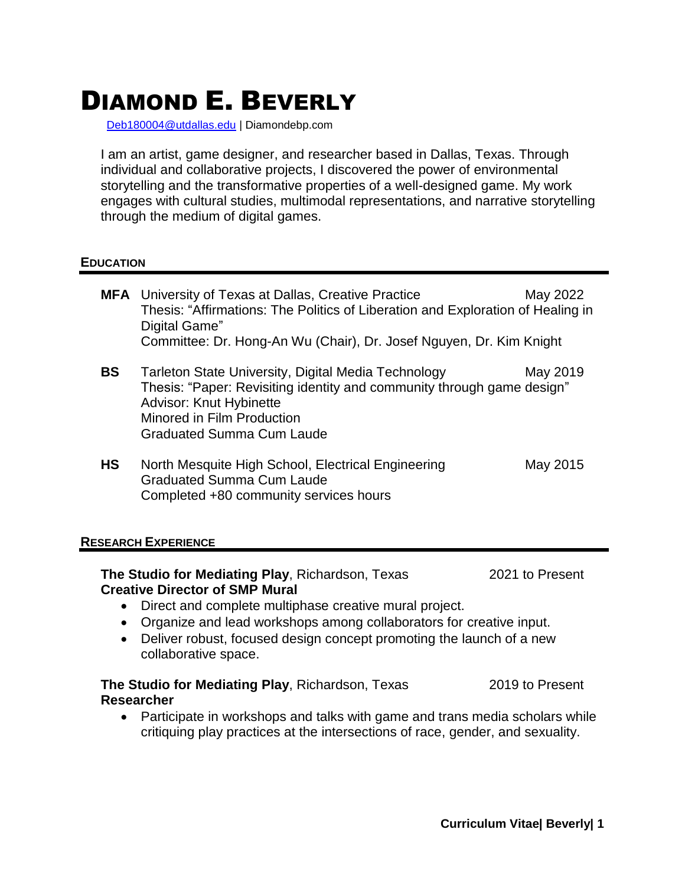# DIAMOND E. BEVERLY

[Deb180004@utdallas.edu](mailto:Deb180004@utdallas.edu) | Diamondebp.com

I am an artist, game designer, and researcher based in Dallas, Texas. Through individual and collaborative projects, I discovered the power of environmental storytelling and the transformative properties of a well-designed game. My work engages with cultural studies, multimodal representations, and narrative storytelling through the medium of digital games.

#### **EDUCATION**

|           | <b>MFA</b> University of Texas at Dallas, Creative Practice<br>Thesis: "Affirmations: The Politics of Liberation and Exploration of Healing in<br>Digital Game"<br>Committee: Dr. Hong-An Wu (Chair), Dr. Josef Nguyen, Dr. Kim Knight | May 2022 |
|-----------|----------------------------------------------------------------------------------------------------------------------------------------------------------------------------------------------------------------------------------------|----------|
| <b>BS</b> | Tarleton State University, Digital Media Technology<br>Thesis: "Paper: Revisiting identity and community through game design"<br><b>Advisor: Knut Hybinette</b><br>Minored in Film Production<br><b>Graduated Summa Cum Laude</b>      | May 2019 |
| <b>HS</b> | North Mesquite High School, Electrical Engineering<br><b>Graduated Summa Cum Laude</b><br>Completed +80 community services hours                                                                                                       | May 2015 |

#### **RESEARCH EXPERIENCE**

**The Studio for Mediating Play, Richardson, Texas 2021 to Present Creative Director of SMP Mural**

- Direct and complete multiphase creative mural project.
- Organize and lead workshops among collaborators for creative input.
- Deliver robust, focused design concept promoting the launch of a new collaborative space.

# **The Studio for Mediating Play, Richardson, Texas 2019 to Present Researcher**

• Participate in workshops and talks with game and trans media scholars while critiquing play practices at the intersections of race, gender, and sexuality.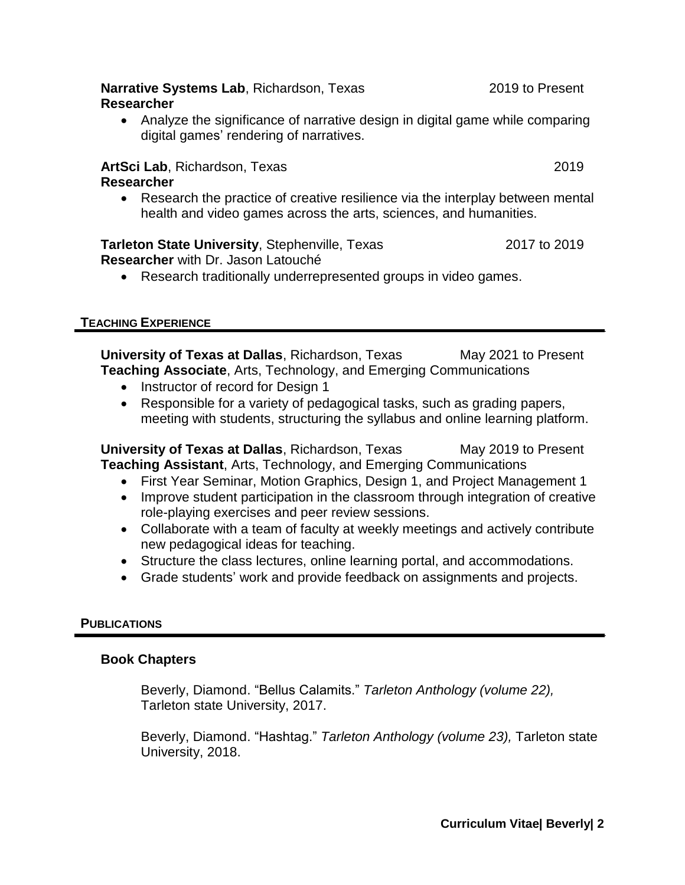#### **Narrative Systems Lab**, Richardson, Texas 2019 to Present **Researcher**

• Analyze the significance of narrative design in digital game while comparing digital games' rendering of narratives.

# **ArtSci Lab**, Richardson, Texas 2019

**Researcher**

• Research the practice of creative resilience via the interplay between mental health and video games across the arts, sciences, and humanities.

#### **Tarleton State University**, Stephenville, Texas 2017 to 2019 **Researcher** with Dr. Jason Latouché

• Research traditionally underrepresented groups in video games.

# **TEACHING EXPERIENCE**

**University of Texas at Dallas, Richardson, Texas May 2021 to Present Teaching Associate**, Arts, Technology, and Emerging Communications

- Instructor of record for Design 1
- Responsible for a variety of pedagogical tasks, such as grading papers, meeting with students, structuring the syllabus and online learning platform.

**University of Texas at Dallas, Richardson, Texas May 2019 to Present Teaching Assistant**, Arts, Technology, and Emerging Communications

- First Year Seminar, Motion Graphics, Design 1, and Project Management 1
- Improve student participation in the classroom through integration of creative role-playing exercises and peer review sessions.
- Collaborate with a team of faculty at weekly meetings and actively contribute new pedagogical ideas for teaching.
- Structure the class lectures, online learning portal, and accommodations.
- Grade students' work and provide feedback on assignments and projects.

# **PUBLICATIONS**

# **Book Chapters**

Beverly, Diamond. "Bellus Calamits." *Tarleton Anthology (volume 22),* Tarleton state University, 2017.

Beverly, Diamond. "Hashtag." *Tarleton Anthology (volume 23),* Tarleton state University, 2018.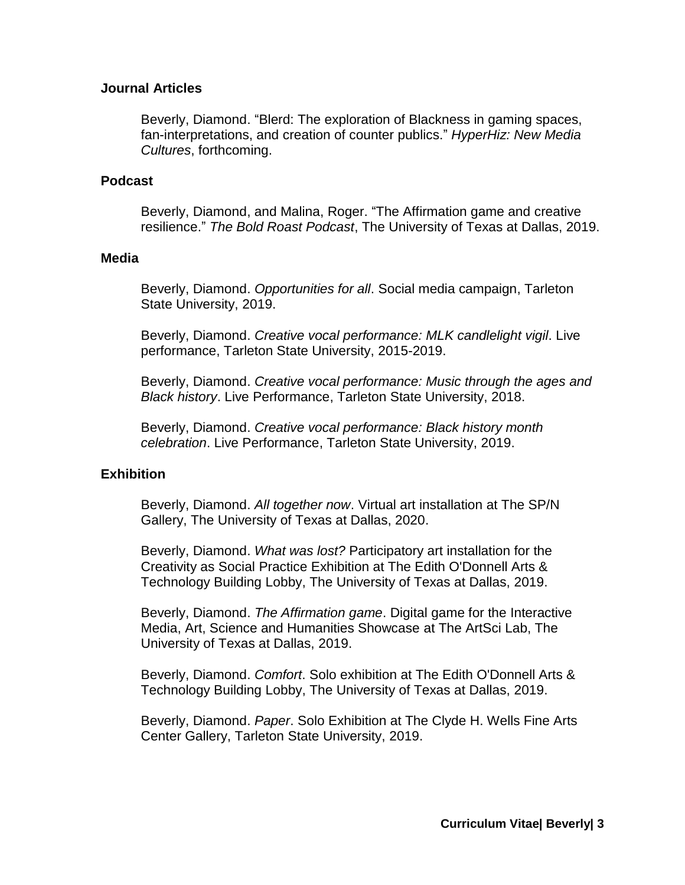## **Journal Articles**

Beverly, Diamond. "Blerd: The exploration of Blackness in gaming spaces, fan-interpretations, and creation of counter publics." *HyperHiz: New Media Cultures*, forthcoming.

## **Podcast**

Beverly, Diamond, and Malina, Roger. "The Affirmation game and creative resilience." *The Bold Roast Podcast*, The University of Texas at Dallas, 2019.

#### **Media**

Beverly, Diamond. *Opportunities for all*. Social media campaign, Tarleton State University, 2019.

Beverly, Diamond. *Creative vocal performance: MLK candlelight vigil*. Live performance, Tarleton State University, 2015-2019.

Beverly, Diamond. *Creative vocal performance: Music through the ages and Black history*. Live Performance, Tarleton State University, 2018.

Beverly, Diamond. *Creative vocal performance: Black history month celebration*. Live Performance, Tarleton State University, 2019.

# **Exhibition**

Beverly, Diamond. *All together now*. Virtual art installation at The SP/N Gallery, The University of Texas at Dallas, 2020.

Beverly, Diamond. *What was lost?* Participatory art installation for the Creativity as Social Practice Exhibition at The Edith O'Donnell Arts & Technology Building Lobby, The University of Texas at Dallas, 2019.

Beverly, Diamond. *The Affirmation game*. Digital game for the Interactive Media, Art, Science and Humanities Showcase at The ArtSci Lab, The University of Texas at Dallas, 2019.

Beverly, Diamond. *Comfort*. Solo exhibition at The Edith O'Donnell Arts & Technology Building Lobby, The University of Texas at Dallas, 2019.

Beverly, Diamond. *Paper*. Solo Exhibition at The Clyde H. Wells Fine Arts Center Gallery, Tarleton State University, 2019.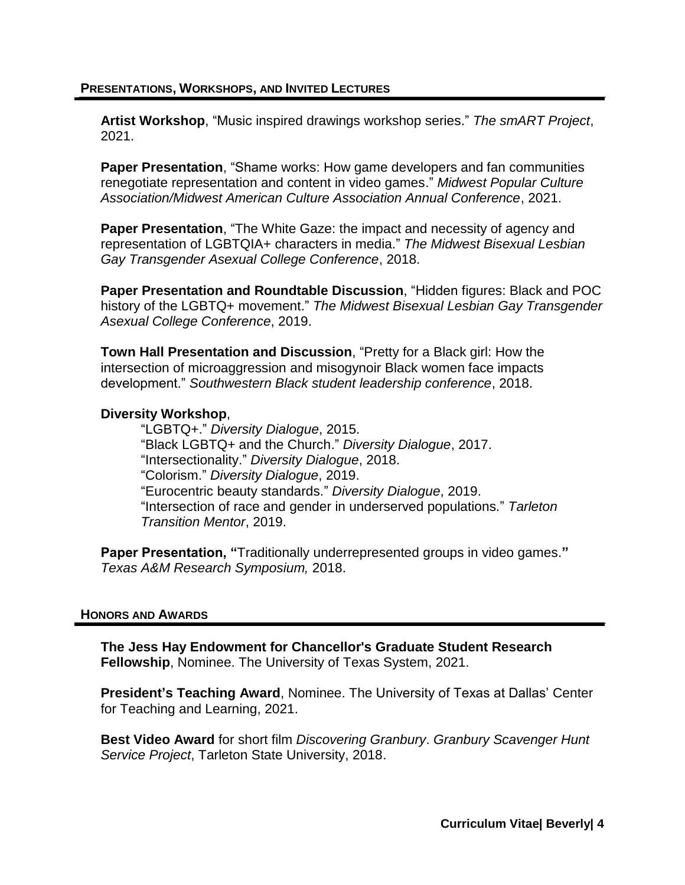#### **PRESENTATIONS, WORKSHOPS, AND INVITED LECTURES**

**Artist Workshop**, "Music inspired drawings workshop series." *The smART Project*, 2021.

**Paper Presentation**, "Shame works: How game developers and fan communities renegotiate representation and content in video games." *Midwest Popular Culture Association/Midwest American Culture Association Annual Conference*, 2021.

**Paper Presentation**, "The White Gaze: the impact and necessity of agency and representation of LGBTQIA+ characters in media." *The Midwest Bisexual Lesbian Gay Transgender Asexual College Conference*, 2018.

**Paper Presentation and Roundtable Discussion**, "Hidden figures: Black and POC history of the LGBTQ+ movement." *The Midwest Bisexual Lesbian Gay Transgender Asexual College Conference*, 2019.

**Town Hall Presentation and Discussion**, "Pretty for a Black girl: How the intersection of microaggression and misogynoir Black women face impacts development." *Southwestern Black student leadership conference*, 2018.

## **Diversity Workshop**,

"LGBTQ+." *Diversity Dialogue*, 2015. "Black LGBTQ+ and the Church." *Diversity Dialogue*, 2017. "Intersectionality." *Diversity Dialogue*, 2018. "Colorism." *Diversity Dialogue*, 2019. "Eurocentric beauty standards." *Diversity Dialogue*, 2019. "Intersection of race and gender in underserved populations." *Tarleton Transition Mentor*, 2019.

**Paper Presentation, "**Traditionally underrepresented groups in video games.**"**  *Texas A&M Research Symposium,* 2018.

#### **HONORS AND AWARDS**

**The Jess Hay Endowment for Chancellor's Graduate Student Research Fellowship**, Nominee. The University of Texas System, 2021.

**President's Teaching Award**, Nominee. The University of Texas at Dallas' Center for Teaching and Learning, 2021.

**Best Video Award** for short film *Discovering Granbury*. *Granbury Scavenger Hunt Service Project*, Tarleton State University, 2018.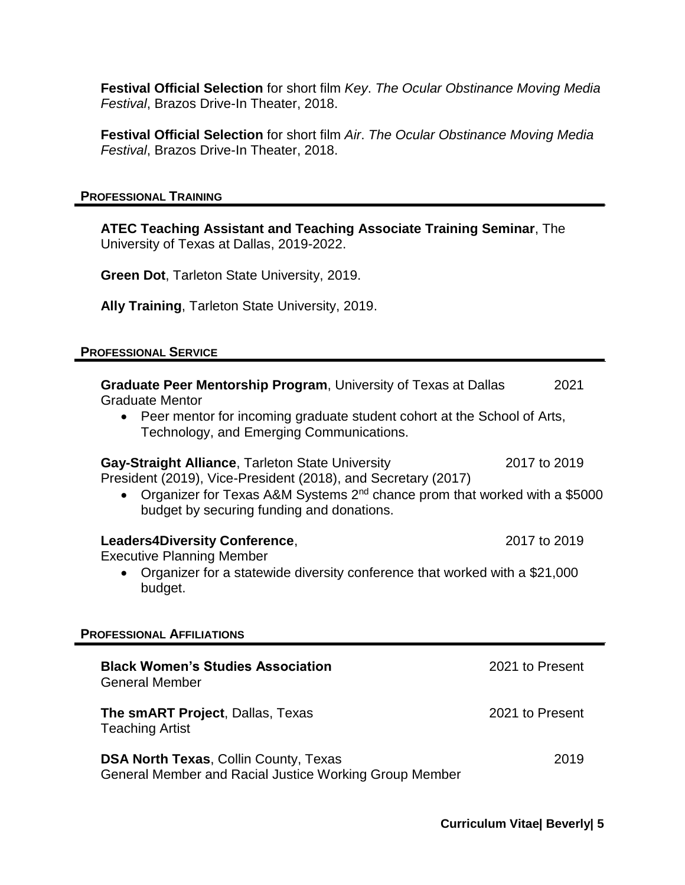**Festival Official Selection** for short film *Key*. *The Ocular Obstinance Moving Media Festival*, Brazos Drive-In Theater, 2018.

**Festival Official Selection** for short film *Air*. *The Ocular Obstinance Moving Media Festival*, Brazos Drive-In Theater, 2018.

#### **PROFESSIONAL TRAINING**

**ATEC Teaching Assistant and Teaching Associate Training Seminar**, The University of Texas at Dallas, 2019-2022.

**Green Dot**, Tarleton State University, 2019.

**Ally Training**, Tarleton State University, 2019.

## **PROFESSIONAL SERVICE**

| <b>Graduate Peer Mentorship Program, University of Texas at Dallas</b><br><b>Graduate Mentor</b>                  |                                                                                       | 2021 |  |  |
|-------------------------------------------------------------------------------------------------------------------|---------------------------------------------------------------------------------------|------|--|--|
| Technology, and Emerging Communications.                                                                          | • Peer mentor for incoming graduate student cohort at the School of Arts,             |      |  |  |
| Gay-Straight Alliance, Tarleton State University<br>President (2019), Vice-President (2018), and Secretary (2017) | 2017 to 2019                                                                          |      |  |  |
| budget by securing funding and donations.                                                                         | Organizer for Texas A&M Systems 2 <sup>nd</sup> chance prom that worked with a \$5000 |      |  |  |
| <b>Leaders4Diversity Conference,</b><br><b>Executive Planning Member</b>                                          | 2017 to 2019                                                                          |      |  |  |
| Organizer for a statewide diversity conference that worked with a \$21,000<br>budget.                             |                                                                                       |      |  |  |
| <b>PROFESSIONAL AFFILIATIONS</b>                                                                                  |                                                                                       |      |  |  |
| <b>Black Women's Studies Association</b><br><b>General Member</b>                                                 | 2021 to Present                                                                       |      |  |  |
| The smART Project, Dallas, Texas<br><b>Teaching Artist</b>                                                        | 2021 to Present                                                                       |      |  |  |
| <b>DSA North Texas, Collin County, Texas</b><br>General Member and Racial Justice Working Group Member            |                                                                                       | 2019 |  |  |